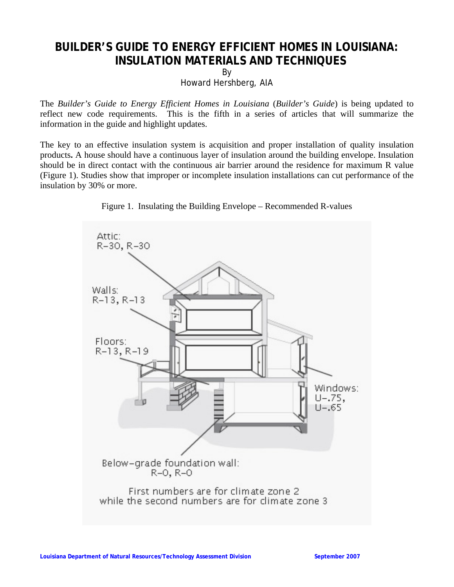## **BUILDER'S GUIDE TO ENERGY EFFICIENT HOMES IN LOUISIANA: INSULATION MATERIALS AND TECHNIQUES**

By

Howard Hershberg, AIA

The *Builder's Guide to Energy Efficient Homes in Louisiana* (*Builder's Guide*) is being updated to reflect new code requirements. This is the fifth in a series of articles that will summarize the information in the guide and highlight updates.

The key to an effective insulation system is acquisition and proper installation of quality insulation products**.** A house should have a continuous layer of insulation around the building envelope. Insulation should be in direct contact with the continuous air barrier around the residence for maximum R value (Figure 1). Studies show that improper or incomplete insulation installations can cut performance of the insulation by 30% or more.



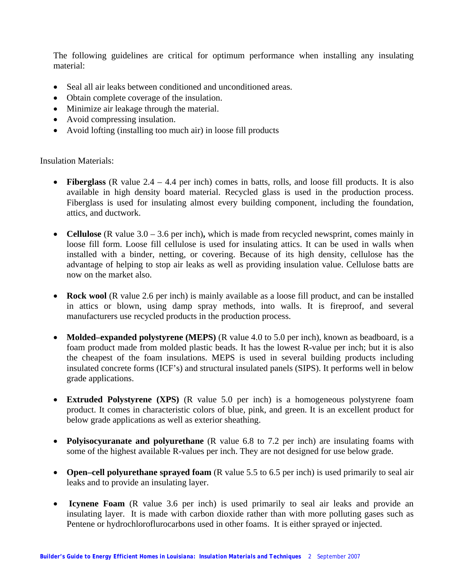The following guidelines are critical for optimum performance when installing any insulating material:

- Seal all air leaks between conditioned and unconditioned areas.
- Obtain complete coverage of the insulation.
- Minimize air leakage through the material.
- Avoid compressing insulation.
- Avoid lofting (installing too much air) in loose fill products

Insulation Materials:

- **Fiberglass** (R value 2.4 4.4 per inch) comes in batts, rolls, and loose fill products. It is also available in high density board material. Recycled glass is used in the production process. Fiberglass is used for insulating almost every building component, including the foundation, attics, and ductwork.
- **Cellulose** (R value 3.0 3.6 per inch), which is made from recycled newsprint, comes mainly in loose fill form. Loose fill cellulose is used for insulating attics. It can be used in walls when installed with a binder, netting, or covering. Because of its high density, cellulose has the advantage of helping to stop air leaks as well as providing insulation value. Cellulose batts are now on the market also.
- **Rock wool** (R value 2.6 per inch) is mainly available as a loose fill product, and can be installed in attics or blown, using damp spray methods, into walls. It is fireproof, and several manufacturers use recycled products in the production process.
- **Molded–expanded polystyrene (MEPS)** (R value 4.0 to 5.0 per inch), known as beadboard, is a foam product made from molded plastic beads. It has the lowest R-value per inch; but it is also the cheapest of the foam insulations. MEPS is used in several building products including insulated concrete forms (ICF's) and structural insulated panels (SIPS). It performs well in below grade applications.
- **Extruded Polystyrene (XPS)** (R value 5.0 per inch) is a homogeneous polystyrene foam product. It comes in characteristic colors of blue, pink, and green. It is an excellent product for below grade applications as well as exterior sheathing.
- **Polyisocyuranate and polyurethane** (R value 6.8 to 7.2 per inch) are insulating foams with some of the highest available R-values per inch. They are not designed for use below grade.
- **Open–cell polyurethane sprayed foam** (R value 5.5 to 6.5 per inch) is used primarily to seal air leaks and to provide an insulating layer.
- **Icynene Foam** (R value 3.6 per inch) is used primarily to seal air leaks and provide an insulating layer. It is made with carbon dioxide rather than with more polluting gases such as Pentene or hydrochloroflurocarbons used in other foams. It is either sprayed or injected.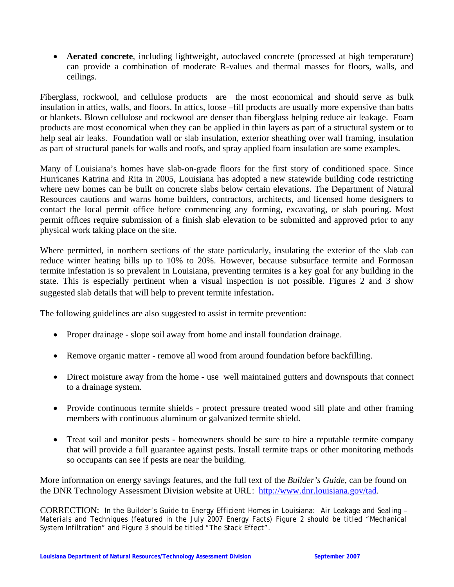• **Aerated concrete**, including lightweight, autoclaved concrete (processed at high temperature) can provide a combination of moderate R-values and thermal masses for floors, walls, and ceilings.

Fiberglass, rockwool, and cellulose products are the most economical and should serve as bulk insulation in attics, walls, and floors. In attics, loose –fill products are usually more expensive than batts or blankets. Blown cellulose and rockwool are denser than fiberglass helping reduce air leakage. Foam products are most economical when they can be applied in thin layers as part of a structural system or to help seal air leaks. Foundation wall or slab insulation, exterior sheathing over wall framing, insulation as part of structural panels for walls and roofs, and spray applied foam insulation are some examples.

Many of Louisiana's homes have slab-on-grade floors for the first story of conditioned space. Since Hurricanes Katrina and Rita in 2005, Louisiana has adopted a new statewide building code restricting where new homes can be built on concrete slabs below certain elevations. The Department of Natural Resources cautions and warns home builders, contractors, architects, and licensed home designers to contact the local permit office before commencing any forming, excavating, or slab pouring. Most permit offices require submission of a finish slab elevation to be submitted and approved prior to any physical work taking place on the site.

Where permitted, in northern sections of the state particularly, insulating the exterior of the slab can reduce winter heating bills up to 10% to 20%. However, because subsurface termite and Formosan termite infestation is so prevalent in Louisiana, preventing termites is a key goal for any building in the state. This is especially pertinent when a visual inspection is not possible. Figures 2 and 3 show suggested slab details that will help to prevent termite infestation.

The following guidelines are also suggested to assist in termite prevention:

- Proper drainage slope soil away from home and install foundation drainage.
- Remove organic matter remove all wood from around foundation before backfilling.
- Direct moisture away from the home usewell maintained gutters and downspouts that connect to a drainage system.
- Provide continuous termite shields protect pressure treated wood sill plate and other framing members with continuous aluminum or galvanized termite shield.
- Treat soil and monitor pests homeowners should be sure to hire a reputable termite company that will provide a full guarantee against pests. Install termite traps or other monitoring methods so occupants can see if pests are near the building.

More information on energy savings features, and the full text of the *Builder's Guide*, can be found on the DNR Technology Assessment Division website at URL: http://www.dnr.louisiana.gov/tad.

CORRECTION: In the *Builder's Guide to Energy Efficient Homes in Louisiana: Air Leakage and Sealing – Materials and Techniques (*featured in the July 2007 Energy Facts) Figure 2 should be titled "Mechanical System Infiltration" and Figure 3 should be titled "The Stack Effect".